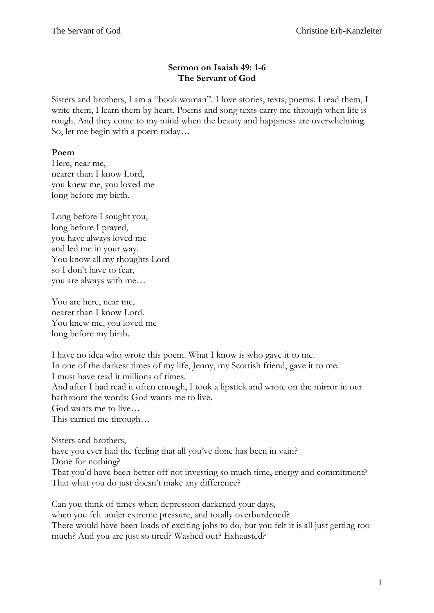## **Sermon on Isaiah 49: 1-6 The Servant of God**

Sisters and brothers, I am a "book woman". I love stories, texts, poems. I read them, I write them, I learn them by heart. Poems and song texts carry me through when life is rough. And they come to my mind when the beauty and happiness are overwhelming. So, let me begin with a poem today…

## **Poem**

Here, near me, nearer than I know Lord, you knew me, you loved me long before my birth.

Long before I sought you, long before I prayed, you have always loved me and led me in your way. You know all my thoughts Lord so I don't have to fear, you are always with me…

You are here, near me, nearer than I know Lord. You knew me, you loved me long before my birth.

I have no idea who wrote this poem. What I know is who gave it to me. In one of the darkest times of my life, Jenny, my Scottish friend, gave it to me. I must have read it millions of times. And after I had read it often enough, I took a lipstick and wrote on the mirror in our bathroom the words: God wants me to live. God wants me to live… This carried me through…

Sisters and brothers, have you ever had the feeling that all you've done has been in vain? Done for nothing? That you'd have been better off not investing so much time, energy and commitment? That what you do just doesn't make any difference?

Can you think of times when depression darkened your days, when you felt under extreme pressure, and totally overburdened? There would have been loads of exciting jobs to do, but you felt it is all just getting too much? And you are just so tired? Washed out? Exhausted?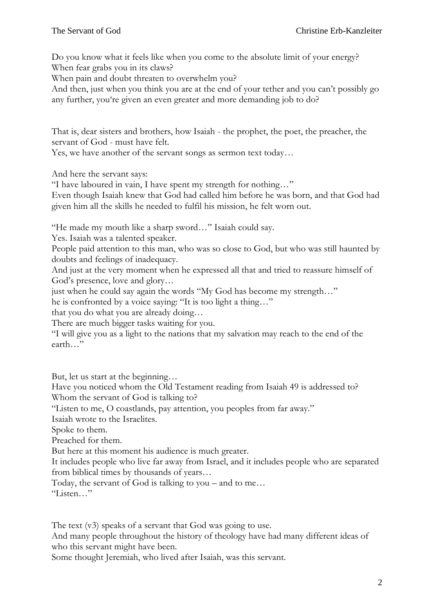Do you know what it feels like when you come to the absolute limit of your energy? When fear grabs you in its claws?

When pain and doubt threaten to overwhelm you?

And then, just when you think you are at the end of your tether and you can't possibly go any further, you're given an even greater and more demanding job to do?

That is, dear sisters and brothers, how Isaiah - the prophet, the poet, the preacher, the servant of God - must have felt.

Yes, we have another of the servant songs as sermon text today…

And here the servant says:

"I have laboured in vain, I have spent my strength for nothing…"

Even though Isaiah knew that God had called him before he was born, and that God had given him all the skills he needed to fulfil his mission, he felt worn out.

"He made my mouth like a sharp sword…" Isaiah could say.

Yes. Isaiah was a talented speaker.

People paid attention to this man, who was so close to God, but who was still haunted by doubts and feelings of inadequacy.

And just at the very moment when he expressed all that and tried to reassure himself of God's presence, love and glory…

just when he could say again the words "My God has become my strength..."

he is confronted by a voice saying: "It is too light a thing…"

that you do what you are already doing…

There are much bigger tasks waiting for you.

"I will give you as a light to the nations that my salvation may reach to the end of the earth…"

But, let us start at the beginning…

Have you noticed whom the Old Testament reading from Isaiah 49 is addressed to? Whom the servant of God is talking to?

"Listen to me, O coastlands, pay attention, you peoples from far away."

Isaiah wrote to the Israelites.

Spoke to them.

Preached for them.

But here at this moment his audience is much greater.

It includes people who live far away from Israel, and it includes people who are separated from biblical times by thousands of years…

Today, the servant of God is talking to you – and to me…

"Listen…"

The text  $(v3)$  speaks of a servant that God was going to use.

And many people throughout the history of theology have had many different ideas of who this servant might have been.

Some thought Jeremiah, who lived after Isaiah, was this servant.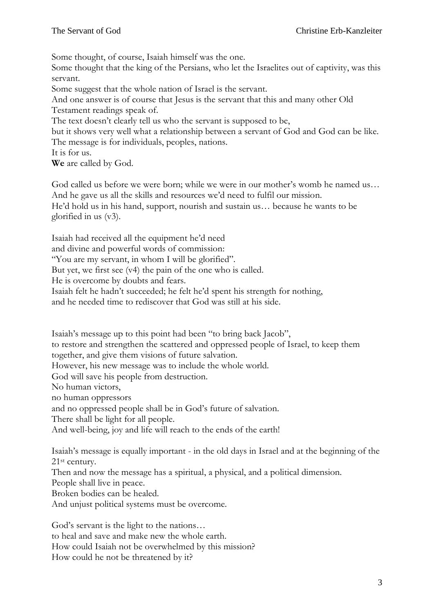Some thought, of course, Isaiah himself was the one.

Some thought that the king of the Persians, who let the Israelites out of captivity, was this servant.

Some suggest that the whole nation of Israel is the servant.

And one answer is of course that Jesus is the servant that this and many other Old Testament readings speak of.

The text doesn't clearly tell us who the servant is supposed to be,

but it shows very well what a relationship between a servant of God and God can be like. The message is for individuals, peoples, nations.

It is for us.

**We** are called by God.

God called us before we were born; while we were in our mother's womb he named us… And he gave us all the skills and resources we'd need to fulfil our mission.

He'd hold us in his hand, support, nourish and sustain us… because he wants to be glorified in us (v3).

Isaiah had received all the equipment he'd need

and divine and powerful words of commission:

"You are my servant, in whom I will be glorified".

But yet, we first see (v4) the pain of the one who is called.

He is overcome by doubts and fears.

Isaiah felt he hadn't succeeded; he felt he'd spent his strength for nothing,

and he needed time to rediscover that God was still at his side.

Isaiah's message up to this point had been "to bring back Jacob",

to restore and strengthen the scattered and oppressed people of Israel, to keep them

together, and give them visions of future salvation.

However, his new message was to include the whole world.

God will save his people from destruction.

No human victors,

no human oppressors

and no oppressed people shall be in God's future of salvation.

There shall be light for all people.

And well-being, joy and life will reach to the ends of the earth!

Isaiah's message is equally important - in the old days in Israel and at the beginning of the 21st century.

Then and now the message has a spiritual, a physical, and a political dimension.

People shall live in peace.

Broken bodies can be healed.

And unjust political systems must be overcome.

God's servant is the light to the nations… to heal and save and make new the whole earth. How could Isaiah not be overwhelmed by this mission? How could he not be threatened by it?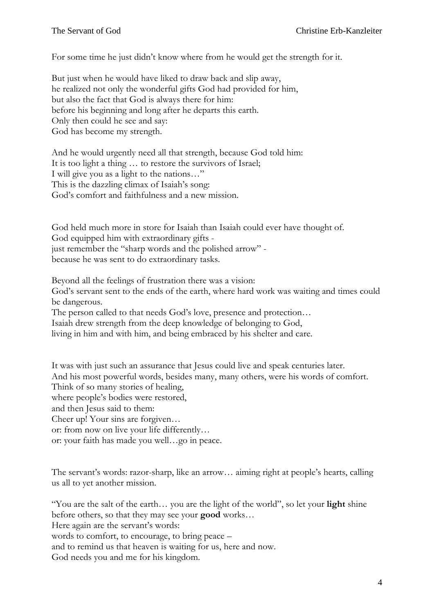For some time he just didn't know where from he would get the strength for it.

But just when he would have liked to draw back and slip away, he realized not only the wonderful gifts God had provided for him, but also the fact that God is always there for him: before his beginning and long after he departs this earth. Only then could he see and say: God has become my strength.

And he would urgently need all that strength, because God told him: It is too light a thing … to restore the survivors of Israel; I will give you as a light to the nations…" This is the dazzling climax of Isaiah's song: God's comfort and faithfulness and a new mission.

God held much more in store for Isaiah than Isaiah could ever have thought of. God equipped him with extraordinary gifts just remember the "sharp words and the polished arrow" because he was sent to do extraordinary tasks.

Beyond all the feelings of frustration there was a vision: God's servant sent to the ends of the earth, where hard work was waiting and times could be dangerous.

The person called to that needs God's love, presence and protection… Isaiah drew strength from the deep knowledge of belonging to God, living in him and with him, and being embraced by his shelter and care.

It was with just such an assurance that Jesus could live and speak centuries later. And his most powerful words, besides many, many others, were his words of comfort. Think of so many stories of healing, where people's bodies were restored, and then Jesus said to them: Cheer up! Your sins are forgiven… or: from now on live your life differently… or: your faith has made you well…go in peace.

The servant's words: razor-sharp, like an arrow… aiming right at people's hearts, calling us all to yet another mission.

"You are the salt of the earth… you are the light of the world", so let your **light** shine before others, so that they may see your **good** works… Here again are the servant's words: words to comfort, to encourage, to bring peace – and to remind us that heaven is waiting for us, here and now. God needs you and me for his kingdom.